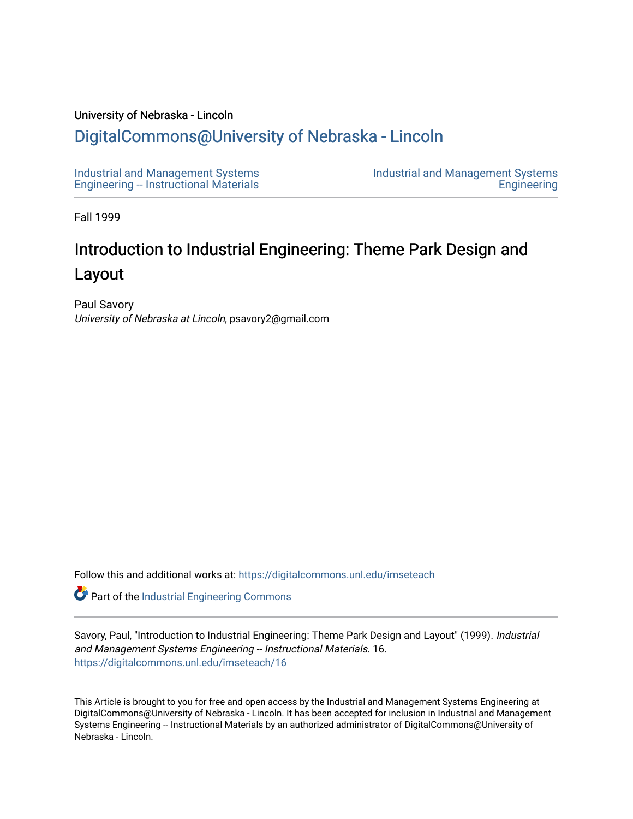#### University of Nebraska - Lincoln

# [DigitalCommons@University of Nebraska - Lincoln](https://digitalcommons.unl.edu/)

[Industrial and Management Systems](https://digitalcommons.unl.edu/imseteach)  [Engineering -- Instructional Materials](https://digitalcommons.unl.edu/imseteach)  [Industrial and Management Systems](https://digitalcommons.unl.edu/imse)  **Engineering** 

Fall 1999

# Introduction to Industrial Engineering: Theme Park Design and Layout

Paul Savory University of Nebraska at Lincoln, psavory2@gmail.com

Follow this and additional works at: [https://digitalcommons.unl.edu/imseteach](https://digitalcommons.unl.edu/imseteach?utm_source=digitalcommons.unl.edu%2Fimseteach%2F16&utm_medium=PDF&utm_campaign=PDFCoverPages) 

Part of the [Industrial Engineering Commons](http://network.bepress.com/hgg/discipline/307?utm_source=digitalcommons.unl.edu%2Fimseteach%2F16&utm_medium=PDF&utm_campaign=PDFCoverPages)

Savory, Paul, "Introduction to Industrial Engineering: Theme Park Design and Layout" (1999). Industrial and Management Systems Engineering -- Instructional Materials. 16. [https://digitalcommons.unl.edu/imseteach/16](https://digitalcommons.unl.edu/imseteach/16?utm_source=digitalcommons.unl.edu%2Fimseteach%2F16&utm_medium=PDF&utm_campaign=PDFCoverPages)

This Article is brought to you for free and open access by the Industrial and Management Systems Engineering at DigitalCommons@University of Nebraska - Lincoln. It has been accepted for inclusion in Industrial and Management Systems Engineering -- Instructional Materials by an authorized administrator of DigitalCommons@University of Nebraska - Lincoln.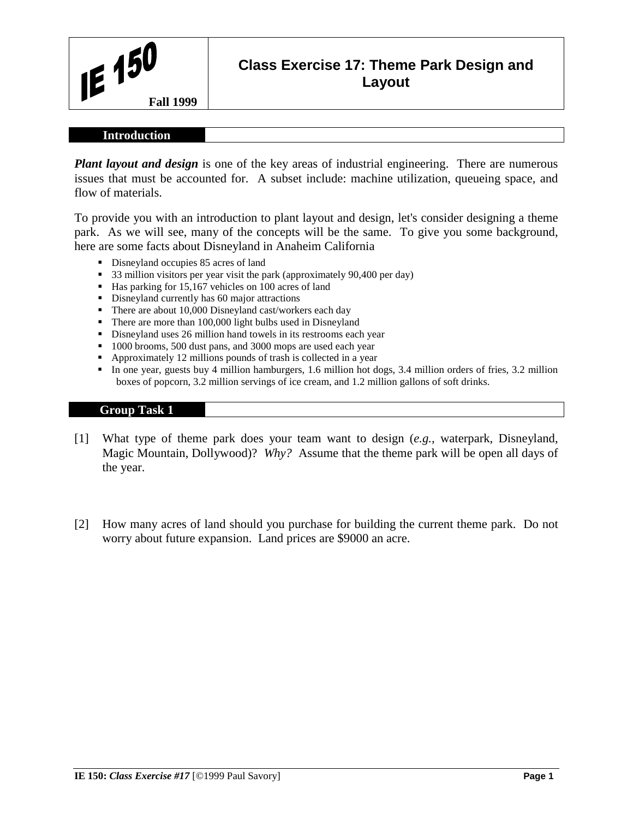

# **Class Exercise 17: Theme Park Design and Layout**

#### **Introduction**

*Plant layout and design* is one of the key areas of industrial engineering. There are numerous issues that must be accounted for. A subset include: machine utilization, queueing space, and flow of materials.

To provide you with an introduction to plant layout and design, let's consider designing a theme park. As we will see, many of the concepts will be the same. To give you some background, here are some facts about Disneyland in Anaheim California

- Disneyland occupies 85 acres of land
- <sup>3</sup> 33 million visitors per year visit the park (approximately 90,400 per day)
- Has parking for 15,167 vehicles on 100 acres of land
- Disneyland currently has 60 major attractions
- There are about 10,000 Disneyland cast/workers each day
- There are more than 100,000 light bulbs used in Disneyland
- Disneyland uses 26 million hand towels in its restrooms each year
- <sup>1000</sup> brooms, 500 dust pans, and 3000 mops are used each year
- Approximately 12 millions pounds of trash is collected in a year
- In one year, guests buy 4 million hamburgers, 1.6 million hot dogs, 3.4 million orders of fries, 3.2 million boxes of popcorn, 3.2 million servings of ice cream, and 1.2 million gallons of soft drinks.

#### **Group Task 1**

- [1] What type of theme park does your team want to design (*e.g.,* waterpark, Disneyland, Magic Mountain, Dollywood)? *Why?* Assume that the theme park will be open all days of the year.
- [2] How many acres of land should you purchase for building the current theme park. Do not worry about future expansion. Land prices are \$9000 an acre.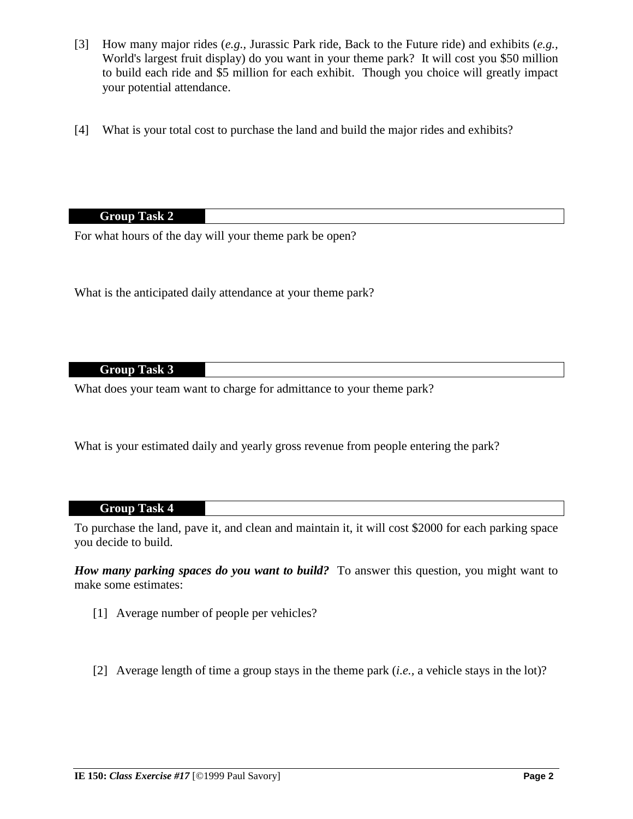- [3] How many major rides (*e.g.,* Jurassic Park ride, Back to the Future ride) and exhibits (*e.g.,* World's largest fruit display) do you want in your theme park? It will cost you \$50 million to build each ride and \$5 million for each exhibit. Though you choice will greatly impact your potential attendance.
- [4] What is your total cost to purchase the land and build the major rides and exhibits?

# **Group Task 2**

For what hours of the day will your theme park be open?

What is the anticipated daily attendance at your theme park?

# **Group Task 3**

What does your team want to charge for admittance to your theme park?

What is your estimated daily and yearly gross revenue from people entering the park?

#### **Group Task 4**

To purchase the land, pave it, and clean and maintain it, it will cost \$2000 for each parking space you decide to build.

*How many parking spaces do you want to build?* To answer this question, you might want to make some estimates:

- [1] Average number of people per vehicles?
- [2] Average length of time a group stays in the theme park (*i.e.,* a vehicle stays in the lot)?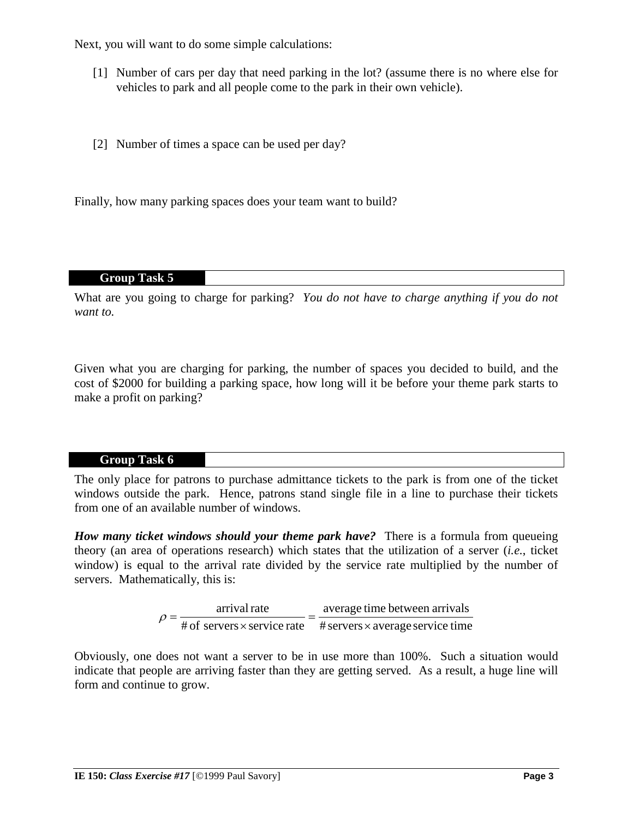Next, you will want to do some simple calculations:

- [1] Number of cars per day that need parking in the lot? (assume there is no where else for vehicles to park and all people come to the park in their own vehicle).
- [2] Number of times a space can be used per day?

Finally, how many parking spaces does your team want to build?

## **Group Task 5**

What are you going to charge for parking? *You do not have to charge anything if you do not want to.*

Given what you are charging for parking, the number of spaces you decided to build, and the cost of \$2000 for building a parking space, how long will it be before your theme park starts to make a profit on parking?

# **Group Task 6**

The only place for patrons to purchase admittance tickets to the park is from one of the ticket windows outside the park. Hence, patrons stand single file in a line to purchase their tickets from one of an available number of windows.

*How many ticket windows should your theme park have?* There is a formula from queueing theory (an area of operations research) which states that the utilization of a server (*i.e.*, ticket window) is equal to the arrival rate divided by the service rate multiplied by the number of servers. Mathematically, this is:

|  | arrival rate | average time between arrivals                                              |
|--|--------------|----------------------------------------------------------------------------|
|  | $\rho =$     | # of servers $\times$ service rate # servers $\times$ average service time |

Obviously, one does not want a server to be in use more than 100%. Such a situation would indicate that people are arriving faster than they are getting served. As a result, a huge line will form and continue to grow.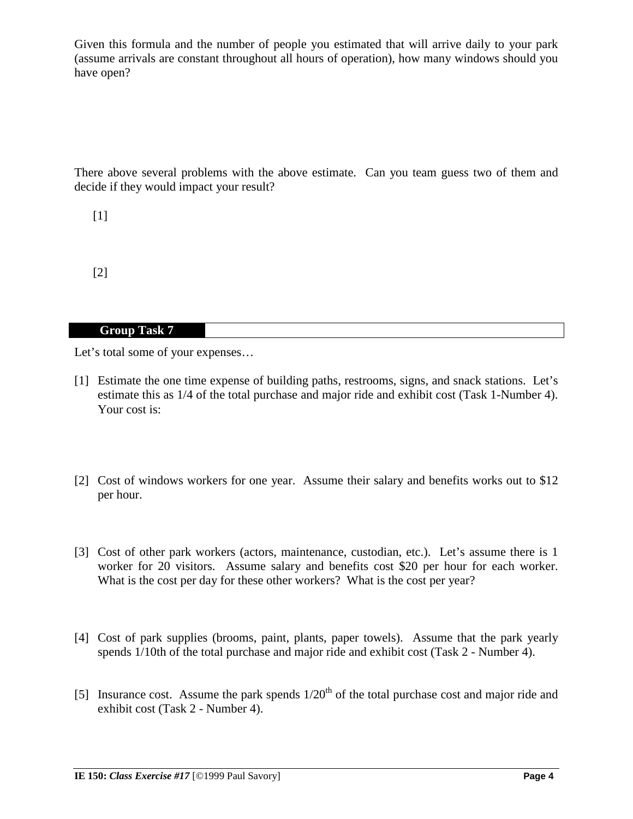Given this formula and the number of people you estimated that will arrive daily to your park (assume arrivals are constant throughout all hours of operation), how many windows should you have open?

There above several problems with the above estimate. Can you team guess two of them and decide if they would impact your result?

[1]

[2]

## **Group Task 7**

Let's total some of your expenses...

- [1] Estimate the one time expense of building paths, restrooms, signs, and snack stations. Let's estimate this as 1/4 of the total purchase and major ride and exhibit cost (Task 1-Number 4). Your cost is:
- [2] Cost of windows workers for one year. Assume their salary and benefits works out to \$12 per hour.
- [3] Cost of other park workers (actors, maintenance, custodian, etc.). Let's assume there is 1 worker for 20 visitors. Assume salary and benefits cost \$20 per hour for each worker. What is the cost per day for these other workers? What is the cost per year?
- [4] Cost of park supplies (brooms, paint, plants, paper towels). Assume that the park yearly spends 1/10th of the total purchase and major ride and exhibit cost (Task 2 - Number 4).
- [5] Insurance cost. Assume the park spends  $1/20<sup>th</sup>$  of the total purchase cost and major ride and exhibit cost (Task 2 - Number 4).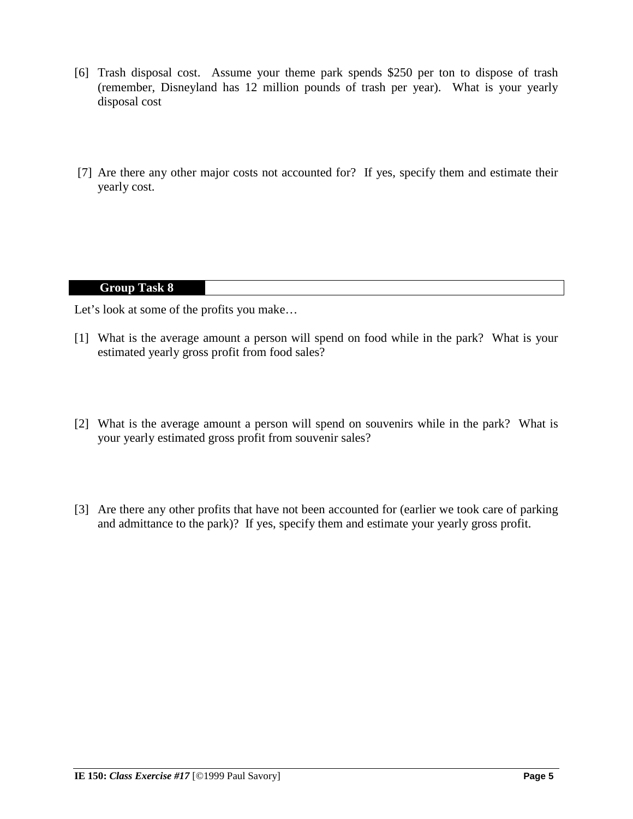- [6] Trash disposal cost. Assume your theme park spends \$250 per ton to dispose of trash (remember, Disneyland has 12 million pounds of trash per year). What is your yearly disposal cost
- [7] Are there any other major costs not accounted for? If yes, specify them and estimate their yearly cost.

# **Group Task 8**

Let's look at some of the profits you make…

- [1] What is the average amount a person will spend on food while in the park? What is your estimated yearly gross profit from food sales?
- [2] What is the average amount a person will spend on souvenirs while in the park? What is your yearly estimated gross profit from souvenir sales?
- [3] Are there any other profits that have not been accounted for (earlier we took care of parking and admittance to the park)? If yes, specify them and estimate your yearly gross profit.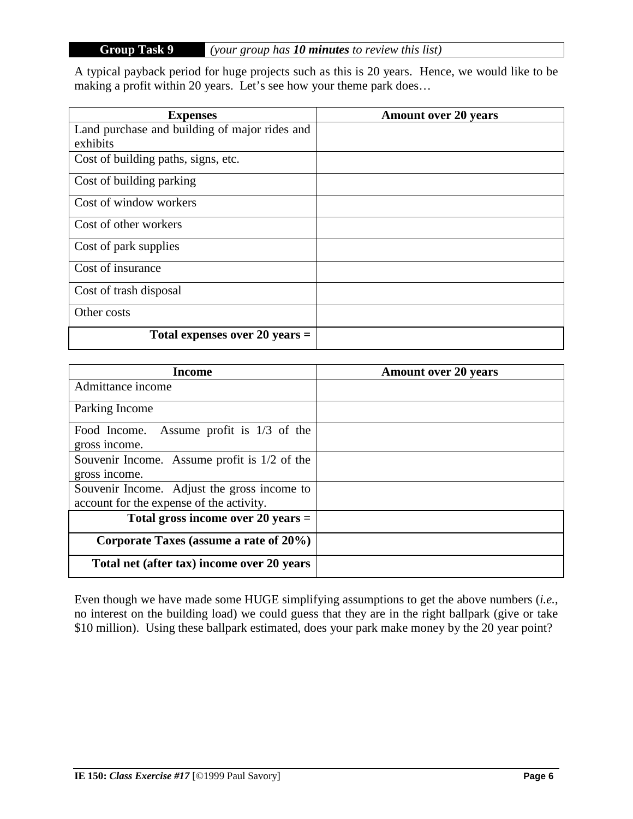# **Group Task 9** *(your group has 10 minutes to review this list)*

A typical payback period for huge projects such as this is 20 years. Hence, we would like to be making a profit within 20 years. Let's see how your theme park does…

| <b>Expenses</b>                               | <b>Amount over 20 years</b> |
|-----------------------------------------------|-----------------------------|
| Land purchase and building of major rides and |                             |
| exhibits                                      |                             |
| Cost of building paths, signs, etc.           |                             |
| Cost of building parking                      |                             |
| Cost of window workers                        |                             |
| Cost of other workers                         |                             |
| Cost of park supplies                         |                             |
| Cost of insurance                             |                             |
| Cost of trash disposal                        |                             |
| Other costs                                   |                             |
| Total expenses over 20 years $=$              |                             |

| <b>Income</b>                                 | <b>Amount over 20 years</b> |
|-----------------------------------------------|-----------------------------|
| Admittance income                             |                             |
| Parking Income                                |                             |
| Assume profit is $1/3$ of the<br>Food Income. |                             |
| gross income.                                 |                             |
| Souvenir Income. Assume profit is 1/2 of the  |                             |
| gross income.                                 |                             |
| Souvenir Income. Adjust the gross income to   |                             |
| account for the expense of the activity.      |                             |
| Total gross income over $20$ years $=$        |                             |
| Corporate Taxes (assume a rate of 20%)        |                             |
| Total net (after tax) income over 20 years    |                             |

Even though we have made some HUGE simplifying assumptions to get the above numbers (*i.e.*, no interest on the building load) we could guess that they are in the right ballpark (give or take \$10 million). Using these ballpark estimated, does your park make money by the 20 year point?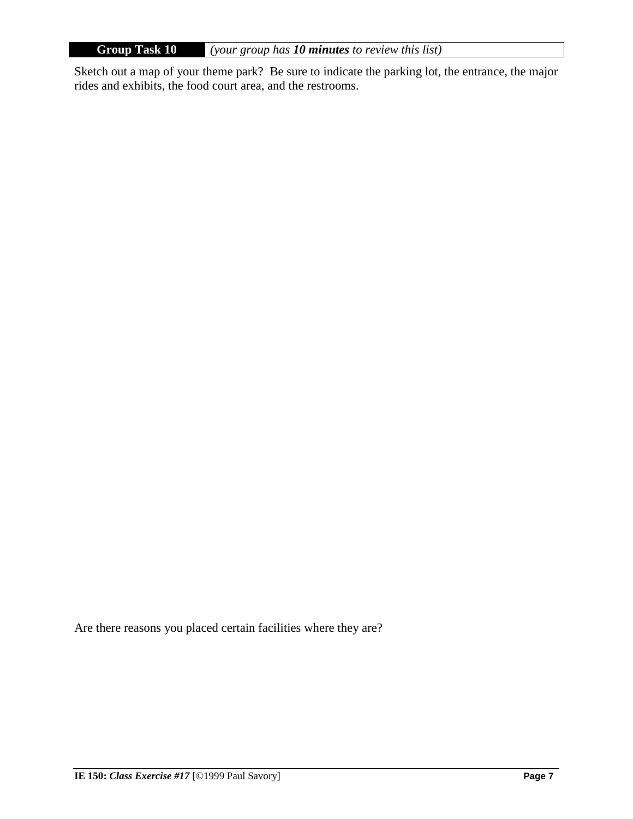**Group Task 10** *(your group has 10 minutes to review this list)*

Sketch out a map of your theme park? Be sure to indicate the parking lot, the entrance, the major rides and exhibits, the food court area, and the restrooms.

Are there reasons you placed certain facilities where they are?